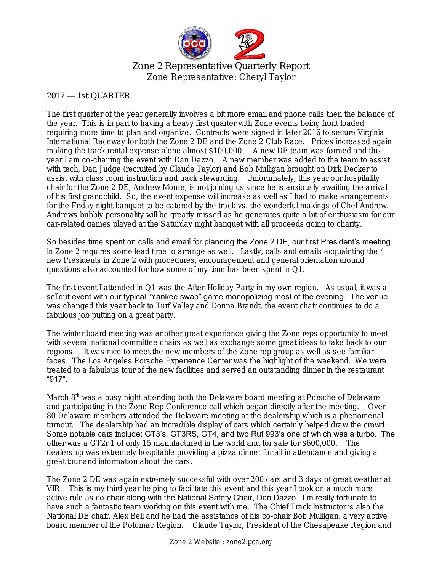

Zone 2 Representative Quarterly Report Zone Representative: Cheryl Taylor

## 2017 — 1st QUARTER

The first quarter of the year generally involves a bit more email and phone calls then the balance of the year. This is in part to having a heavy first quarter with Zone events being front loaded requiring more time to plan and organize. Contracts were signed in later 2016 to secure Virginia International Raceway for both the Zone 2 DE and the Zone 2 Club Race. Prices increased again making the track rental expense alone almost \$100,000. A new DE team was formed and this year I am co-chairing the event with Dan Dazzo. A new member was added to the team to assist with tech, Dan Judge (recruited by Claude Taylor) and Bob Mulligan brought on Dirk Decker to assist with class room instruction and track stewarding. Unfortunately, this year our hospitality chair for the Zone 2 DE, Andrew Moore, is not joining us since he is anxiously awaiting the arrival of his first grandchild. So, the event expense will increase as well as I had to make arrangements for the Friday night banquet to be catered by the track vs. the wonderful makings of Chef Andrew. Andrews bubbly personality will be greatly missed as he generates quite a bit of enthusiasm for our car-related games played at the Saturday night banquet with all proceeds going to charity.

So besides time spent on calls and email for planning the Zone 2 DE, our first President's meeting in Zone 2 requires some lead time to arrange as well. Lastly, calls and emails acquainting the 4 new Presidents in Zone 2 with procedures, encouragement and general orientation around questions also accounted for how some of my time has been spent in Q1.

The first event I attended in Q1 was the After-Holiday Party in my own region. As usual, it was a sellout event with our typical "Yankee swap" game monopolizing most of the evening. The venue was changed this year back to Turf Valley and Donna Brandt, the event chair continues to do a fabulous job putting on a great party.

The winter board meeting was another great experience giving the Zone reps opportunity to meet with several national committee chairs as well as exchange some great ideas to take back to our regions. It was nice to meet the new members of the Zone rep group as well as see familiar faces. The Los Angeles Porsche Experience Center was the highlight of the weekend. We were treated to a fabulous tour of the new facilities and served an outstanding dinner in the restaurant "917".

March 8<sup>th</sup> was a busy night attending both the Delaware board meeting at Porsche of Delaware and participating in the Zone Rep Conference call which began directly after the meeting. Over 80 Delaware members attended the Delaware meeting at the dealership which is a phenomenal turnout. The dealership had an incredible display of cars which certainly helped draw the crowd. Some notable cars include: GT3's, GT3RS, GT4, and two Ruf 993's one of which was a turbo. The other was a GT2r 1 of only 15 manufactured in the world and for sale for \$600,000. The dealership was extremely hospitable providing a pizza dinner for all in attendance and giving a great tour and information about the cars.

The Zone 2 DE was again extremely successful with over 200 cars and 3 days of great weather at VIR. This is my third year helping to facilitate this event and this year I took on a much more active role as co-chair along with the National Safety Chair, Dan Dazzo. I'm really fortunate to have such a fantastic team working on this event with me. The Chief Track Instructor is also the National DE chair, Alex Bell and he had the assistance of his co-chair Bob Mulligan, a very active board member of the Potomac Region. Claude Taylor, President of the Chesapeake Region and